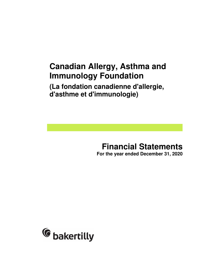## **Canadian Allergy, Asthma and Immunology Foundation**

**(La fondation canadienne d'allergie, d'asthme et d'immunologie)** 

# **Financial Statements**

**For the year ended December 31, 2020**

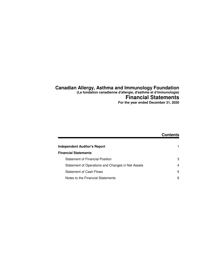## **Canadian Allergy, Asthma and Immunology Foundation**

**(La fondation canadienne d'allergie, d'asthme et d'immunologie)**

## **Financial Statements**

**For the year ended December 31, 2020**

|                                                   | <b>Contents</b> |
|---------------------------------------------------|-----------------|
|                                                   |                 |
| <b>Independent Auditor's Report</b>               |                 |
| <b>Financial Statements</b>                       |                 |
| <b>Statement of Financial Position</b>            | 3               |
| Statement of Operations and Changes in Net Assets | 4               |
| <b>Statement of Cash Flows</b>                    | 5               |
| Notes to the Financial Statements                 | 6               |
|                                                   |                 |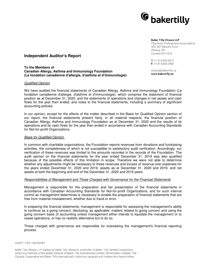

#### **Baker Tilly Ottawa LLP**

Chartered Professional Accountants 400-301 Moodie Drive Ottawa, ON Canada K2H 9C4

 $T: +1613.820.8010$  $F: +1 613.820.0465$ 

ottawa@bakertilly.ca www.bakertilly.ca

## **Independent Auditor's Report**

#### **To the Members of Canadian Allergy, Asthma and Immunology Foundation (La fondation canadienne d'allergie, d'asthme et d'immunologie)**

#### Qualified Opinion

We have audited the financial statements of Canadian Allergy, Asthma and Immunology Foundation (La fondation canadienne d'allergie, d'asthme et d'immunologie), which comprise the statement of financial position as at December 31, 2020, and the statements of operations and changes in net assets and cash flows for the year then ended, and notes to the financial statements, including a summary of significant accounting policies.

In our opinion, except for the effects of the matter described in the Basis for Qualified Opinion section of our report, the financial statements present fairly, in all material respects, the financial position of Canadian Allergy, Asthma and Immunology Foundation as at December 31, 2020 and the results of its operations and its cash flows for the year then ended in accordance with Canadian Accounting Standards for Not-for-profit Organizations.

#### Basis for Qualified Opinion

In common with charitable organizations, the Foundation reports revenues from donations and fundraising activities, the completeness of which is not susceptible to satisfactory audit verification. Accordingly, our verification of these revenues was limited to the amounts recorded in the records of the Foundation. The audit opinion on the financial statements for the year ended December 31, 2019 was also qualified because of the possible effects of this limitation in scope. Therefore we were not able to determine whether any adjustments might be necessary to these revenues and excess of revenue over expenses for the years ended December 31, 2020 and 2019, assets as at December 31, 2020 and 2019, and net assets at both the beginning and end of the December 31, 2020 and 2019 years.

#### Responsibilities of Management and Those Charged with Governance for the Financial Statements

Management is responsible for the preparation and fair presentation of the financial statements in accordance with Canadian Accounting Standards for Not-for-profit Organizations, and for such internal control as management determines is necessary to enable the preparation of financial statements that are free from material misstatement, whether due to fraud or error.

In preparing the financial statements, management is responsible for assessing the management's ability to continue as a going concern, disclosing, as applicable, matters related to going concern and using the going concern basis of accounting unless management either intends to liquidate the management or to cease operations, or has no realistic alternative but to do so.

Those charged with governance are responsible for overseeing the management's financial reporting process.

#### AUDIT · TAX · ADVISORY

Baker Tilly Ottawa LLP trading as Baker Tilly Ottawa is a member of Baker Tilly Canada Cooperative, which is a member of the global network of Baker Tilly International Limited. All members of Baker Tilly Canada Cooperative and Baker Tilly International Limited are separate and independent legal entities.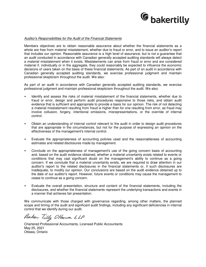

#### Auditor's Responsibilities for the Audit of the Financial Statements

Members objectives are to obtain reasonable assurance about whether the financial statements as a whole are free from material misstatement, whether due to fraud or error, and to issue an auditor's report that includes our opinion. Reasonable assurance is a high level of assurance, but is not a guarantee that an audit conducted in accordance with Canadian generally accepted auditing standards will always detect a material misstatement when it exists. Misstatements can arise from fraud or error and are considered material if, individually or in the aggregate, they could reasonably be expected to influence the economic decisions of users taken on the basis of these financial statements. As part of an audit in accordance with Canadian generally accepted auditing standards, we exercise professional judgment and maintain professional skepticism throughout the audit. We also:

As part of an audit in accordance with Canadian generally accepted auditing standards, we exercise professional judgment and maintain professional skepticism throughout the audit. We also:

- Identify and assess the risks of material misstatement of the financial statements, whether due to fraud or error, design and perform audit procedures responsive to those risks, and obtain audit evidence that is sufficient and appropriate to provide a basis for our opinion. The risk of not detecting a material misstatement resulting from fraud is higher than for one resulting from error, as fraud may involve collusion, forgery, intentional omissions, misrepresentations, or the override of internal control.
- Obtain an understanding of internal control relevant to the audit in order to design audit procedures that are appropriate in the circumstances, but not for the purpose of expressing an opinion on the effectiveness of the management's internal control.
- Evaluate the appropriateness of accounting policies used and the reasonableness of accounting estimates and related disclosures made by management.
- Conclude on the appropriateness of management's use of the going concern basis of accounting and, based on the audit evidence obtained, whether a material uncertainty exists related to events or conditions that may cast significant doubt on the management's ability to continue as a going concern. If we conclude that a material uncertainty exists, we are required to draw attention in our auditor's report to the related disclosures in the financial statements or, if such disclosures are inadequate, to modify our opinion. Our conclusions are based on the audit evidence obtained up to the date of our auditor's report. However, future events or conditions may cause the management to cease to continue as a going concern.
- Evaluate the overall presentation, structure and content of the financial statements, including the disclosures, and whether the financial statements represent the underlying transactions and events in a manner that achieves fair presentation.

We communicate with those charged with governance regarding, among other matters, the planned scope and timing of the audit and significant audit findings, including any significant deficiencies in internal control that we identify during our audit.

Baker Tilly Ottawa LLP

Chartered Professional Accountants, Licensed Public Accountants May 25, 2021 Ottawa, Ontario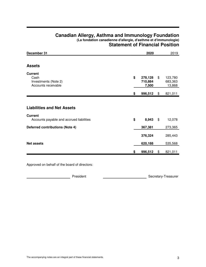## **Canadian Allergy, Asthma and Immunology Foundation (La fondation canadienne d'allergie, d'asthme et d'immunologie) Statement of Financial Position**

| December 31                                                                                     | 2020                              |       | 2019                         |
|-------------------------------------------------------------------------------------------------|-----------------------------------|-------|------------------------------|
| <b>Assets</b>                                                                                   |                                   |       |                              |
| <b>Current</b><br>Cash<br>Investments (Note 2)<br>Accounts receivable                           | \$<br>278,128<br>710,884<br>7,500 | \$    | 123,780<br>683,363<br>13,868 |
|                                                                                                 | \$<br>996,512                     | \$    | 821,011                      |
| <b>Liabilities and Net Assets</b><br><b>Current</b><br>Accounts payable and accrued liabilities | \$<br>8,943                       | $\$\$ | 12,078                       |
| <b>Deferred contributions (Note 4)</b>                                                          | 367,381                           |       | 273,365                      |
|                                                                                                 | 376,324                           |       | 285,443                      |
| <b>Net assets</b>                                                                               | 620,188                           |       | 535,568                      |
|                                                                                                 | \$<br>996,512                     | \$    | 821,011                      |

Approved on behalf of the board of directors:

Example 2014 Resident Contract Contract Contract Contract Contract Contract Contract Contract Contract Contract Contract Contract Contract Contract Contract Contract Contract Contract Contract Contract Contract Contract Co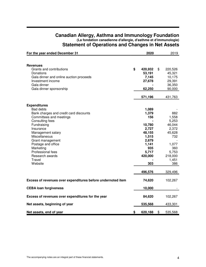| For the year ended December 31                                                                                                                                                                                                                                                                                        | 2020                                                                                                            | 2019                                                                                                          |
|-----------------------------------------------------------------------------------------------------------------------------------------------------------------------------------------------------------------------------------------------------------------------------------------------------------------------|-----------------------------------------------------------------------------------------------------------------|---------------------------------------------------------------------------------------------------------------|
|                                                                                                                                                                                                                                                                                                                       |                                                                                                                 |                                                                                                               |
| <b>Revenues</b><br>Grants and contributions<br>Donations<br>Gala dinner and online auction proceeds<br>Investment income<br>Gala dinner<br>Gala dinner sponsorship                                                                                                                                                    | \$<br>420,932<br>53,191<br>7,145<br>27,678<br>62,250<br>571,196                                                 | \$<br>220,526<br>45,321<br>10,175<br>29,391<br>36,350<br>90,000<br>431,763                                    |
|                                                                                                                                                                                                                                                                                                                       |                                                                                                                 |                                                                                                               |
| <b>Expenditures</b><br><b>Bad debts</b><br>Bank charges and credit card discounts<br>Committees and meetings<br>Consulting fees<br>Fundraising<br>Insurance<br>Management salary<br>Miscellaneous<br>Grant management<br>Postage and office<br>Marketing<br>Professional fees<br>Research awards<br>Travel<br>Website | 1,089<br>1,379<br>156<br>10,780<br>2,727<br>48,155<br>1,515<br>2,679<br>1,141<br>935<br>5,717<br>420,000<br>303 | 882<br>1,558<br>5,253<br>46,044<br>2,372<br>45,628<br>732<br>1,077<br>360<br>5,753<br>218,000<br>1,451<br>386 |
|                                                                                                                                                                                                                                                                                                                       | 496,576                                                                                                         | 329,496                                                                                                       |
| Excess of revenues over expenditures before undernoted item                                                                                                                                                                                                                                                           | 74,620                                                                                                          | 102,267                                                                                                       |
| <b>CEBA loan forgiveness</b>                                                                                                                                                                                                                                                                                          | 10,000                                                                                                          |                                                                                                               |
| Excess of revenues over expenditures for the year                                                                                                                                                                                                                                                                     | 84,620                                                                                                          | 102,267                                                                                                       |
| Net assets, beginning of year                                                                                                                                                                                                                                                                                         | 535,568                                                                                                         | 433,301                                                                                                       |
| Net assets, end of year                                                                                                                                                                                                                                                                                               | \$<br>620,188                                                                                                   | \$<br>535,568                                                                                                 |

## **Canadian Allergy, Asthma and Immunology Foundation (La fondation canadienne d'allergie, d'asthme et d'immunologie) Statement of Operations and Changes in Net Assets**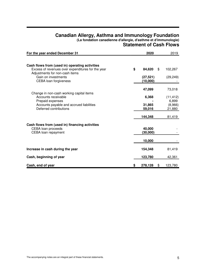## **Canadian Allergy, Asthma and Immunology Foundation (La fondation canadienne d'allergie, d'asthme et d'immunologie) Statement of Cash Flows**

| For the year ended December 31                                                      |    | 2020      | 2019          |
|-------------------------------------------------------------------------------------|----|-----------|---------------|
|                                                                                     |    |           |               |
| Cash flows from (used in) operating activities                                      |    |           |               |
| Excess of revenues over expenditures for the year<br>Adjustments for non-cash items | \$ | 84,620    | \$<br>102,267 |
| Gain on investments                                                                 |    | (27, 521) | (29, 249)     |
| <b>CEBA</b> loan forgiveness                                                        |    | (10,000)  |               |
|                                                                                     |    |           |               |
| Change in non-cash working capital items                                            |    | 47,099    | 73,018        |
| Accounts receivable                                                                 |    | 6,368     | (11, 412)     |
| Prepaid expenses                                                                    |    |           | 6,899         |
| Accounts payable and accrued liabilities                                            |    | 31,865    | (8,966)       |
| Deferred contributions                                                              |    | 59,016    | 21,880        |
|                                                                                     |    | 144,348   | 81,419        |
|                                                                                     |    |           |               |
| Cash flows from (used in) financing activities<br>CEBA loan proceeds                |    | 40,000    |               |
| CEBA loan repayment                                                                 |    | (30,000)  |               |
|                                                                                     |    |           |               |
|                                                                                     |    | 10,000    |               |
|                                                                                     |    |           |               |
| Increase in cash during the year                                                    |    | 154,348   | 81,419        |
| Cash, beginning of year                                                             |    | 123,780   | 42,361        |
|                                                                                     |    |           |               |
| Cash, end of year                                                                   | S  | 278,128   | \$<br>123,780 |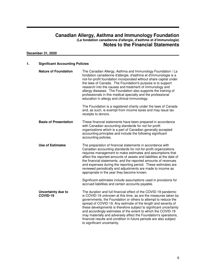## **December 31, 2020**

| 1. | <b>Significant Accounting Policies</b> |                                                                                                                                                                                                                                                                                                                                                                                                                                                                                                                                                                                       |  |  |  |  |
|----|----------------------------------------|---------------------------------------------------------------------------------------------------------------------------------------------------------------------------------------------------------------------------------------------------------------------------------------------------------------------------------------------------------------------------------------------------------------------------------------------------------------------------------------------------------------------------------------------------------------------------------------|--|--|--|--|
|    | <b>Nature of Foundation</b>            | The Canadian Allergy, Asthma and Immunology Foundation / La<br>fondation canadienne d'allergie, d'asthme et d'immunologie is a<br>not-for-profit foundation incorporated without share capital under<br>the laws of Canada. The Foundation's purpose is to support<br>research into the causes and treatment of immunology and<br>allergy diseases. The Foundation also supports the training of<br>professionals in this medical specialty and the professional<br>education in allergy and clinical immunology.                                                                     |  |  |  |  |
|    |                                        | The Foundation is a registered charity under the laws of Canada<br>and, as such, is exempt from income taxes and may issue tax<br>receipts to donors.                                                                                                                                                                                                                                                                                                                                                                                                                                 |  |  |  |  |
|    | <b>Basis of Presentation</b>           | These financial statements have been prepared in accordance<br>with Canadian accounting standards for not-for-profit<br>organizations which is a part of Canadian generally accepted<br>accounting principles and include the following significant<br>accounting policies.                                                                                                                                                                                                                                                                                                           |  |  |  |  |
|    | <b>Use of Estimates</b>                | The preparation of financial statements in accordance with<br>Canadian accounting standards for not-for-profit organizations<br>requires management to make estimates and assumptions that<br>affect the reported amounts of assets and liabilities at the date of<br>the financial statements, and the reported amounts of revenues<br>and expenses during the reporting period. These estimates are<br>reviewed periodically and adjustments are made to income as<br>appropriate in the year they become known.                                                                    |  |  |  |  |
|    |                                        | Significant estimates include assumptions used in provisions for<br>accrued liabilities and certain accounts payable.                                                                                                                                                                                                                                                                                                                                                                                                                                                                 |  |  |  |  |
|    | Uncertainty due to<br>COVID-19         | The duration and full financial effect of the COVID-19 pandemic<br>is COVID-19 unknown at this time, as are the measures taken by<br>governments, the Foundation or others to attempt to reduce the<br>spread of COVID-19. Any estimate of the length and severity of<br>these developments is therefore subject to significant uncertainty<br>and accordingly estimates of the extent to which the COVID-19<br>may materially and adversely affect the Foundation's operations,<br>financial results and condition in future periods are also subject<br>to significant uncertainty. |  |  |  |  |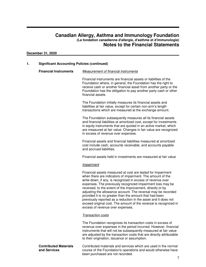## **December 31, 2020**

## **1. Significant Accounting Policies (continued)**

| <b>Financial Instruments</b>                 | Measurement of financial instruments                                                                                                                                                                                                                                                                                                                                                                                                                                                                                                                                                                                         |
|----------------------------------------------|------------------------------------------------------------------------------------------------------------------------------------------------------------------------------------------------------------------------------------------------------------------------------------------------------------------------------------------------------------------------------------------------------------------------------------------------------------------------------------------------------------------------------------------------------------------------------------------------------------------------------|
|                                              | Financial instruments are financial assets or liabilities of the<br>Foundation where, in general, the Foundation has the right to<br>receive cash or another financial asset from another party or the<br>Foundation has the obligation to pay another party cash or other<br>financial assets.                                                                                                                                                                                                                                                                                                                              |
|                                              | The Foundation initially measures its financial assets and<br>liabilities at fair value, except for certain non-arm's length<br>transactions which are measured at the exchange amount.                                                                                                                                                                                                                                                                                                                                                                                                                                      |
|                                              | The Foundation subsequently measures all its financial assets<br>and financial liabilities at amortized cost, except for investments<br>in equity instruments that are quoted in an active market, which<br>are measured at fair value. Changes in fair value are recognized<br>in excess of revenue over expenses.                                                                                                                                                                                                                                                                                                          |
|                                              | Financial assets and financial liabilities measured at amortized<br>cost include cash, accounts receivable, and accounts payable<br>and accrued liabilities.                                                                                                                                                                                                                                                                                                                                                                                                                                                                 |
|                                              | Financial assets held in investments are measured at fair value                                                                                                                                                                                                                                                                                                                                                                                                                                                                                                                                                              |
|                                              | Impairment                                                                                                                                                                                                                                                                                                                                                                                                                                                                                                                                                                                                                   |
|                                              | Financial assets measured at cost are tested for impairment<br>when there are indicators of impairment. The amount of the<br>write-down, if any, is recognized in excess of revenue over<br>expenses. The previously recognized impairment loss may be<br>reversed, to the extent of the improvement, directly or by<br>adjusting the allowance account. The reversal may be recorded<br>provided it is no greater than the amount that had been<br>previously reported as a reduction in the asset and it does not<br>exceed original cost. The amount of the reversal is recognized in<br>excess of revenue over expenses. |
|                                              | <b>Transaction costs</b>                                                                                                                                                                                                                                                                                                                                                                                                                                                                                                                                                                                                     |
|                                              | The Foundation recognizes its transaction costs in excess of<br>revenue over expenses in the period incurred. However, financial<br>instruments that will not be subsequently measured at fair value<br>are adjusted by the transaction costs that are directly attributable<br>to their origination, issuance or assumption.                                                                                                                                                                                                                                                                                                |
| <b>Contributed Materials</b><br>and Services | Contributed materials and services which are used in the normal<br>course of the Foundation's operations and would otherwise have<br>been purchased are not recorded.                                                                                                                                                                                                                                                                                                                                                                                                                                                        |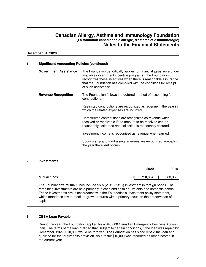#### **December 31, 2020**

| 1. | <b>Significant Accounting Policies (continued)</b> |                                                                                                                                                                                                                                                                                            |
|----|----------------------------------------------------|--------------------------------------------------------------------------------------------------------------------------------------------------------------------------------------------------------------------------------------------------------------------------------------------|
|    | <b>Government Assistance</b>                       | The Foundation periodically applies for financial assistance under<br>available government incentive programs. The Foundation<br>recognizes these incentives when there is reasonable assurance<br>that the Foundation has complied with the conditions for receipt<br>of such assistance. |
|    | <b>Revenue Recognition</b>                         | The Foundation follows the deferral method of accounting for<br>contributions.                                                                                                                                                                                                             |
|    |                                                    | Restricted contributions are recognized as revenue in the year in<br>which the related expenses are incurred.                                                                                                                                                                              |
|    |                                                    | Unrestricted contributions are recognized as revenue when<br>received or receivable if the amount to be received can be<br>reasonably estimated and collection is reasonably assured.                                                                                                      |
|    |                                                    | Investment income is recognized as revenue when earned.                                                                                                                                                                                                                                    |
|    |                                                    | Sponsorship and fundraising revenues are recognized annually in<br>the year the event occurs.                                                                                                                                                                                              |

## **2. Investments**

|              | 2020          |               | 2019    |
|--------------|---------------|---------------|---------|
| Mutual funds | \$<br>710,884 | $\mathfrak s$ | 683,363 |

The Foundation's mutual funds include 55% (2019 - 52%) investment in foreign bonds. The remaining investments are held primarily in cash and cash equivalents and domestic bonds. These investments are in accordance with the Foundation's investment policy statement, which mandates low to medium growth returns with a primary focus on the preservation of capital.

## **3. CEBA Loan Payable**

During the year, the Foundation applied for a \$40,000 Canadian Emergency Business Account loan. The terms of the loan outlined that, subject to certain conditions, if the loan was repaid by December, 2022, \$10,000 would be forgiven. The Foundation has since repaid the loan and qualified for the forgiveness provision. As a result \$10,000 was recorded as other income in the current year.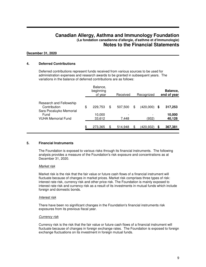## **December 31, 2020**

## **4. Deferred Contributions**

Deferred contributions represent funds received from various sources to be used for administration expenses and research awards to be granted in subsequent years. The variations in the balance of deferred contributions are as follows:

|                                                                    | Balance,<br>beginning<br>of year | Received      | Recognized      |    | Balance,<br>end of year |
|--------------------------------------------------------------------|----------------------------------|---------------|-----------------|----|-------------------------|
| Research and Fellowship<br>Contribution<br>Sara Pocaluyko Memorial | \$<br>229,753                    | \$<br>507,500 | \$<br>(420,000) | S  | 317,253                 |
| Fund<br><b>VUHA Memorial Fund</b>                                  | 10,000<br>33,612                 | 7,448         | (932)           |    | 10,000<br>40,128        |
|                                                                    | \$<br>273,365                    | \$<br>514,948 | (420,932)       | \$ | 367,381                 |

## **5. Financial Instruments**

The Foundation is exposed to various risks through its financial instruments. The following analysis provides a measure of the Foundation's risk exposure and concentrations as at December 31, 2020.

#### Market risk

Market risk is the risk that the fair value or future cash flows of a financial instrument will fluctuate because of changes in market prices. Market risk comprises three types of risk: interest rate risk, currency risk and other price risk. The Foundation is mainly exposed to interest rate risk and currency risk as a result of its investments in mutual funds which include foreign and domestic bonds.

#### Interest risk

There have been no significant changes in the Foundation's financial instruments risk exposures from its previous fiscal year.

#### **Currency risk**

Currency risk is the risk that the fair value or future cash flows of a financial instrument will fluctuate because of changes in foreign exchange rates. The Foundation is exposed to foreign exchange fluctuations on its investment in foreign mutual funds.